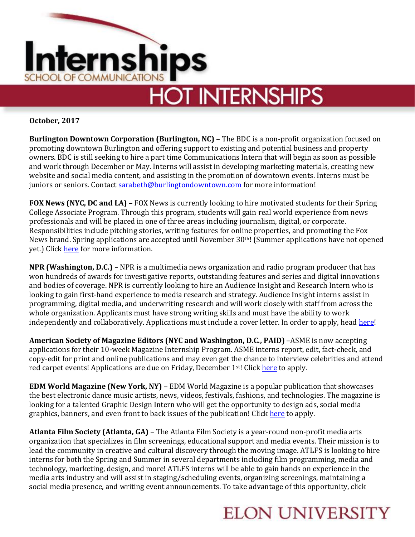

**October, 2017**

**Burlington Downtown Corporation (Burlington, NC)** – The BDC is a non-profit organization focused on promoting downtown Burlington and offering support to existing and potential business and property owners. BDC is still seeking to hire a part time Communications Intern that will begin as soon as possible and work through December or May. Interns will assist in developing marketing materials, creating new website and social media content, and assisting in the promotion of downtown events. Interns must be juniors or seniors. Contact [sarabeth@burlingtondowntown.com](mailto:sarabeth@burlingtondowntown.com) for more information!

**FOX News (NYC, DC and LA)** – FOX News is currently looking to hire motivated students for their Spring College Associate Program. Through this program, students will gain real world experience from news professionals and will be placed in one of three areas including journalism, digital, or corporate. Responsibilities include pitching stories, writing features for online properties, and promoting the Fox News brand. Spring applications are accepted until November 30th! (Summer applications have not opened yet.) Click [here](http://careers.foxnews.com/students) for more information.

**NPR (Washington, D.C.)** – NPR is a multimedia news organization and radio program producer that has won hundreds of awards for investigative reports, outstanding features and series and digital innovations and bodies of coverage. NPR is currently looking to hire an Audience Insight and Research Intern who is looking to gain first-hand experience to media research and strategy. Audience Insight interns assist in programming, digital media, and underwriting research and will work closely with staff from across the whole organization. Applicants must have strong writing skills and must have the ability to work independently and collaboratively. Applications must include a cover letter. In order to apply, head [here!](https://recruiting.ultipro.com/NAT1011NATPR/JobBoard/af823b19-a43b-4cda-b6c2-c06508d84cf6/OpportunityDetail?opportunityId=ae307818-1344-47a3-95a9-88c6bf55da39)

**American Society of Magazine Editors (NYC and Washington, D.C., PAID)** –ASME is now accepting applications for their 10-week Magazine Internship Program. ASME interns report, edit, fact-check, and copy-edit for print and online publications and may even get the chance to interview celebrities and attend red carpet events! Applications are due on Friday, December 1<sup>st!</sup> Clic[k here](https://asmeinternship.secure-platform.com/a/solicitations/login/10?returnUrl=http%3A%2F%2Fasmeinternship.secure-platform.com%2Fa%2Fsolicitations%2Fhome%2F10) to apply.

**EDM World Magazine (New York, NY)** – EDM World Magazine is a popular publication that showcases the best electronic dance music artists, news, videos, festivals, fashions, and technologies. The magazine is looking for a talented Graphic Design Intern who will get the opportunity to design ads, social media graphics, banners, and even front to back issues of the publication! Click [here](https://jobs.smartrecruiters.com/EDMWorldMagazine/743999660770368-graphic-design-internship) to apply.

**Atlanta Film Society (Atlanta, GA)** – The Atlanta Film Society is a year-round non-profit media arts organization that specializes in film screenings, educational support and media events. Their mission is to lead the community in creative and cultural discovery through the moving image. ATLFS is looking to hire interns for both the Spring and Summer in several departments including film programming, media and technology, marketing, design, and more! ATLFS interns will be able to gain hands on experience in the media arts industry and will assist in staging/scheduling events, organizing screenings, maintaining a social media presence, and writing event announcements. To take advantage of this opportunity, click

## **ELON UNIVERSITY**